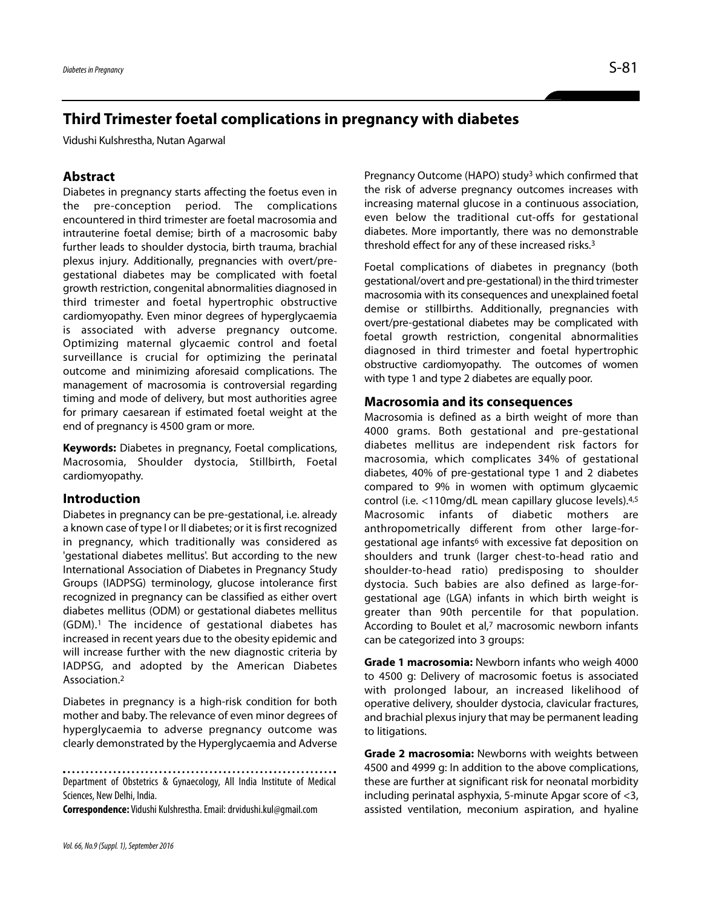# **Third Trimester foetal complications in pregnancy with diabetes**

Vidushi Kulshrestha, Nutan Agarwal

## **Abstract**

Diabetes in pregnancy starts affecting the foetus even in the pre-conception period. The complications encountered in third trimester are foetal macrosomia and intrauterine foetal demise; birth of a macrosomic baby further leads to shoulder dystocia, birth trauma, brachial plexus injury. Additionally, pregnancies with overt/pregestational diabetes may be complicated with foetal growth restriction, congenital abnormalities diagnosed in third trimester and foetal hypertrophic obstructive cardiomyopathy. Even minor degrees of hyperglycaemia is associated with adverse pregnancy outcome. Optimizing maternal glycaemic control and foetal surveillance is crucial for optimizing the perinatal outcome and minimizing aforesaid complications. The management of macrosomia is controversial regarding timing and mode of delivery, but most authorities agree for primary caesarean if estimated foetal weight at the end of pregnancy is 4500 gram or more.

**Keywords:** Diabetes in pregnancy, Foetal complications, Macrosomia, Shoulder dystocia, Stillbirth, Foetal cardiomyopathy.

### **Introduction**

Diabetes in pregnancy can be pre-gestational, i.e. already a known case of type I or II diabetes; or it is first recognized in pregnancy, which traditionally was considered as 'gestational diabetes mellitus'. But according to the new International Association of Diabetes in Pregnancy Study Groups (IADPSG) terminology, glucose intolerance first recognized in pregnancy can be classified as either overt diabetes mellitus (ODM) or gestational diabetes mellitus (GDM).1 The incidence of gestational diabetes has increased in recent years due to the obesity epidemic and will increase further with the new diagnostic criteria by IADPSG, and adopted by the American Diabetes Association.2

Diabetes in pregnancy is a high-risk condition for both mother and baby. The relevance of even minor degrees of hyperglycaemia to adverse pregnancy outcome was clearly demonstrated by the Hyperglycaemia and Adverse

Department of Obstetrics & Gynaecology, All India Institute of Medical Sciences, New Delhi, India.

**Correspondence:** Vidushi Kulshrestha. Email: drvidushi.kul@gmail.com

Pregnancy Outcome (HAPO) study3 which confirmed that the risk of adverse pregnancy outcomes increases with increasing maternal glucose in a continuous association, even below the traditional cut-offs for gestational diabetes. More importantly, there was no demonstrable threshold effect for any of these increased risks.3

Foetal complications of diabetes in pregnancy (both gestational/overt and pre-gestational) in the third trimester macrosomia with its consequences and unexplained foetal demise or stillbirths. Additionally, pregnancies with overt/pre-gestational diabetes may be complicated with foetal growth restriction, congenital abnormalities diagnosed in third trimester and foetal hypertrophic obstructive cardiomyopathy. The outcomes of women with type 1 and type 2 diabetes are equally poor.

#### **Macrosomia and its consequences**

Macrosomia is defined as a birth weight of more than 4000 grams. Both gestational and pre-gestational diabetes mellitus are independent risk factors for macrosomia, which complicates 34% of gestational diabetes, 40% of pre-gestational type 1 and 2 diabetes compared to 9% in women with optimum glycaemic control (i.e. <110mg/dL mean capillary glucose levels).4,5 Macrosomic infants of diabetic mothers are anthropometrically different from other large-forgestational age infants<sup>6</sup> with excessive fat deposition on shoulders and trunk (larger chest-to-head ratio and shoulder-to-head ratio) predisposing to shoulder dystocia. Such babies are also defined as large-forgestational age (LGA) infants in which birth weight is greater than 90th percentile for that population. According to Boulet et al,7 macrosomic newborn infants can be categorized into 3 groups:

**Grade 1 macrosomia:** Newborn infants who weigh 4000 to 4500 g: Delivery of macrosomic foetus is associated with prolonged labour, an increased likelihood of operative delivery, shoulder dystocia, clavicular fractures, and brachial plexus injury that may be permanent leading to litigations.

**Grade 2 macrosomia:** Newborns with weights between 4500 and 4999 g: In addition to the above complications, these are further at significant risk for neonatal morbidity including perinatal asphyxia, 5-minute Apgar score of <3, assisted ventilation, meconium aspiration, and hyaline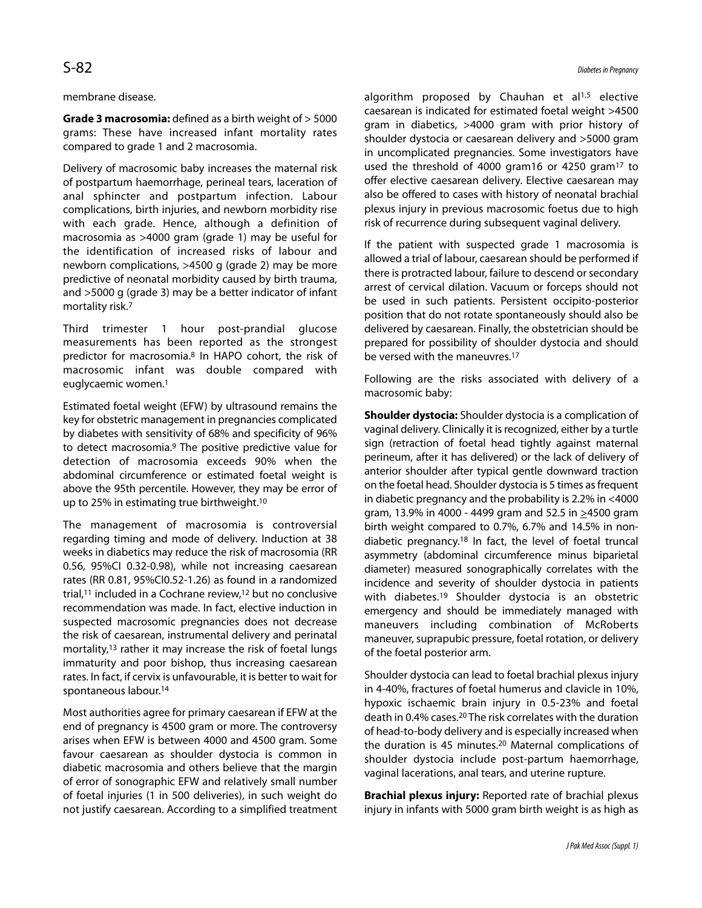#### membrane disease.

**Grade 3 macrosomia:** defined as a birth weight of > 5000 grams: These have increased infant mortality rates compared to grade 1 and 2 macrosomia.

Delivery of macrosomic baby increases the maternal risk of postpartum haemorrhage, perineal tears, laceration of anal sphincter and postpartum infection. Labour complications, birth injuries, and newborn morbidity rise with each grade. Hence, although a definition of macrosomia as >4000 gram (grade 1) may be useful for the identification of increased risks of labour and newborn complications, >4500 g (grade 2) may be more predictive of neonatal morbidity caused by birth trauma, and >5000 g (grade 3) may be a better indicator of infant mortality risk.7

Third trimester 1 hour post-prandial glucose measurements has been reported as the strongest predictor for macrosomia.8 In HAPO cohort, the risk of macrosomic infant was double compared with euglycaemic women.1

Estimated foetal weight (EFW) by ultrasound remains the key for obstetric management in pregnancies complicated by diabetes with sensitivity of 68% and specificity of 96% to detect macrosomia.9 The positive predictive value for detection of macrosomia exceeds 90% when the abdominal circumference or estimated foetal weight is above the 95th percentile. However, they may be error of up to 25% in estimating true birthweight.10

The management of macrosomia is controversial regarding timing and mode of delivery. Induction at 38 weeks in diabetics may reduce the risk of macrosomia (RR 0.56, 95%CI 0.32-0.98), while not increasing caesarean rates (RR 0.81, 95%CI0.52-1.26) as found in a randomized trial,11 included in a Cochrane review,12 but no conclusive recommendation was made. In fact, elective induction in suspected macrosomic pregnancies does not decrease the risk of caesarean, instrumental delivery and perinatal mortality,13 rather it may increase the risk of foetal lungs immaturity and poor bishop, thus increasing caesarean rates. In fact, if cervix is unfavourable, it is better to wait for spontaneous labour.14

Most authorities agree for primary caesarean if EFW at the end of pregnancy is 4500 gram or more. The controversy arises when EFW is between 4000 and 4500 gram. Some favour caesarean as shoulder dystocia is common in diabetic macrosomia and others believe that the margin of error of sonographic EFW and relatively small number of foetal injuries (1 in 500 deliveries), in such weight do not justify caesarean. According to a simplified treatment algorithm proposed by Chauhan et al<sup>1,5</sup> elective caesarean is indicated for estimated foetal weight >4500 gram in diabetics, >4000 gram with prior history of shoulder dystocia or caesarean delivery and >5000 gram in uncomplicated pregnancies. Some investigators have used the threshold of 4000 gram16 or 4250 gram17 to offer elective caesarean delivery. Elective caesarean may also be offered to cases with history of neonatal brachial plexus injury in previous macrosomic foetus due to high risk of recurrence during subsequent vaginal delivery.

If the patient with suspected grade 1 macrosomia is allowed a trial of labour, caesarean should be performed if there is protracted labour, failure to descend or secondary arrest of cervical dilation. Vacuum or forceps should not be used in such patients. Persistent occipito-posterior position that do not rotate spontaneously should also be delivered by caesarean. Finally, the obstetrician should be prepared for possibility of shoulder dystocia and should be versed with the maneuvres.17

Following are the risks associated with delivery of a macrosomic baby:

**Shoulder dystocia:** Shoulder dystocia is a complication of vaginal delivery. Clinically it is recognized, either by a turtle sign (retraction of foetal head tightly against maternal perineum, after it has delivered) or the lack of delivery of anterior shoulder after typical gentle downward traction on the foetal head. Shoulder dystocia is 5 times as frequent in diabetic pregnancy and the probability is 2.2% in <4000 gram, 13.9% in 4000 - 4499 gram and 52.5 in >4500 gram birth weight compared to 0.7%, 6.7% and 14.5% in nondiabetic pregnancy.18 In fact, the level of foetal truncal asymmetry (abdominal circumference minus biparietal diameter) measured sonographically correlates with the incidence and severity of shoulder dystocia in patients with diabetes.<sup>19</sup> Shoulder dystocia is an obstetric emergency and should be immediately managed with maneuvers including combination of McRoberts maneuver, suprapubic pressure, foetal rotation, or delivery of the foetal posterior arm.

Shoulder dystocia can lead to foetal brachial plexus injury in 4-40%, fractures of foetal humerus and clavicle in 10%, hypoxic ischaemic brain injury in 0.5-23% and foetal death in 0.4% cases.20 The risk correlates with the duration of head-to-body delivery and is especially increased when the duration is 45 minutes.20 Maternal complications of shoulder dystocia include post-partum haemorrhage, vaginal lacerations, anal tears, and uterine rupture.

**Brachial plexus injury:** Reported rate of brachial plexus injury in infants with 5000 gram birth weight is as high as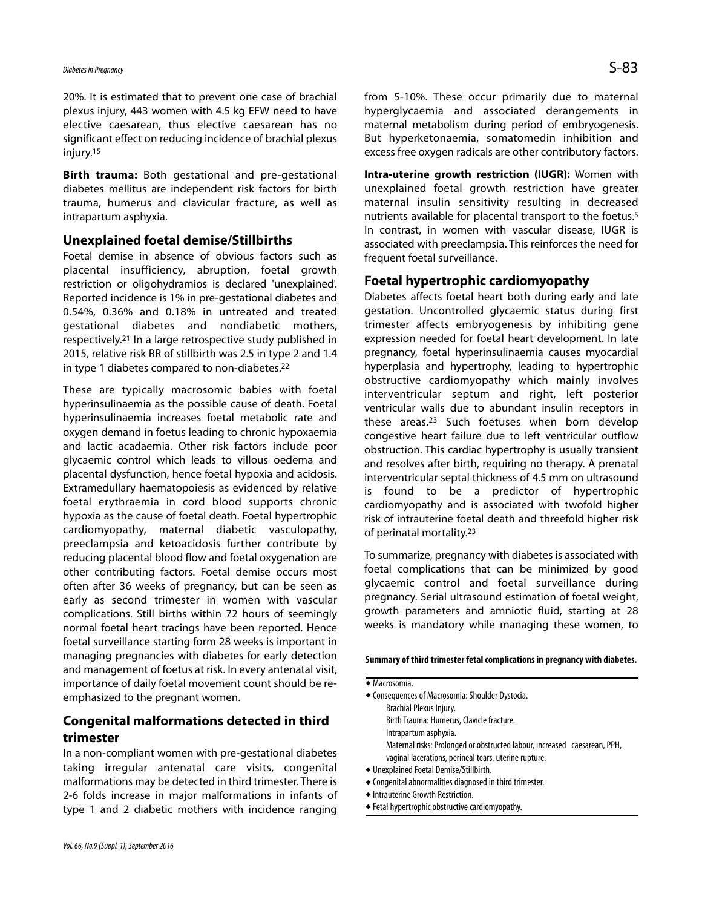20%. It is estimated that to prevent one case of brachial plexus injury, 443 women with 4.5 kg EFW need to have elective caesarean, thus elective caesarean has no significant effect on reducing incidence of brachial plexus injury.15

**Birth trauma:** Both gestational and pre-gestational diabetes mellitus are independent risk factors for birth trauma, humerus and clavicular fracture, as well as intrapartum asphyxia.

### **Unexplained foetal demise/Stillbirths**

Foetal demise in absence of obvious factors such as placental insufficiency, abruption, foetal growth restriction or oligohydramios is declared 'unexplained'. Reported incidence is 1% in pre-gestational diabetes and 0.54%, 0.36% and 0.18% in untreated and treated gestational diabetes and nondiabetic mothers, respectively.21 In a large retrospective study published in 2015, relative risk RR of stillbirth was 2.5 in type 2 and 1.4 in type 1 diabetes compared to non-diabetes.22

These are typically macrosomic babies with foetal hyperinsulinaemia as the possible cause of death. Foetal hyperinsulinaemia increases foetal metabolic rate and oxygen demand in foetus leading to chronic hypoxaemia and lactic acadaemia. Other risk factors include poor glycaemic control which leads to villous oedema and placental dysfunction, hence foetal hypoxia and acidosis. Extramedullary haematopoiesis as evidenced by relative foetal erythraemia in cord blood supports chronic hypoxia as the cause of foetal death. Foetal hypertrophic cardiomyopathy, maternal diabetic vasculopathy, preeclampsia and ketoacidosis further contribute by reducing placental blood flow and foetal oxygenation are other contributing factors. Foetal demise occurs most often after 36 weeks of pregnancy, but can be seen as early as second trimester in women with vascular complications. Still births within 72 hours of seemingly normal foetal heart tracings have been reported. Hence foetal surveillance starting form 28 weeks is important in managing pregnancies with diabetes for early detection and management of foetus at risk. In every antenatal visit, importance of daily foetal movement count should be reemphasized to the pregnant women.

## **Congenital malformations detected in third trimester**

In a non-compliant women with pre-gestational diabetes taking irregular antenatal care visits, congenital malformations may be detected in third trimester. There is 2-6 folds increase in major malformations in infants of type 1 and 2 diabetic mothers with incidence ranging from 5-10%. These occur primarily due to maternal hyperglycaemia and associated derangements in maternal metabolism during period of embryogenesis. But hyperketonaemia, somatomedin inhibition and excess free oxygen radicals are other contributory factors.

**Intra-uterine growth restriction (IUGR):** Women with unexplained foetal growth restriction have greater maternal insulin sensitivity resulting in decreased nutrients available for placental transport to the foetus.5 In contrast, in women with vascular disease, IUGR is associated with preeclampsia. This reinforces the need for frequent foetal surveillance.

### **Foetal hypertrophic cardiomyopathy**

Diabetes affects foetal heart both during early and late gestation. Uncontrolled glycaemic status during first trimester affects embryogenesis by inhibiting gene expression needed for foetal heart development. In late pregnancy, foetal hyperinsulinaemia causes myocardial hyperplasia and hypertrophy, leading to hypertrophic obstructive cardiomyopathy which mainly involves interventricular septum and right, left posterior ventricular walls due to abundant insulin receptors in these areas.23 Such foetuses when born develop congestive heart failure due to left ventricular outflow obstruction. This cardiac hypertrophy is usually transient and resolves after birth, requiring no therapy. A prenatal interventricular septal thickness of 4.5 mm on ultrasound is found to be a predictor of hypertrophic cardiomyopathy and is associated with twofold higher risk of intrauterine foetal death and threefold higher risk of perinatal mortality.23

To summarize, pregnancy with diabetes is associated with foetal complications that can be minimized by good glycaemic control and foetal surveillance during pregnancy. Serial ultrasound estimation of foetal weight, growth parameters and amniotic fluid, starting at 28 weeks is mandatory while managing these women, to

#### **Summary of third trimester fetal complications in pregnancy with diabetes.**

 Macrosomia. Consequences of Macrosomia: Shoulder Dystocia. Brachial Plexus Injury. Birth Trauma: Humerus, Clavicle fracture. Intrapartum asphyxia. Maternal risks: Prolonged or obstructed labour, increased caesarean, PPH, vaginal lacerations, perineal tears, uterine rupture. Unexplained Foetal Demise/Stillbirth.

- 
- Congenital abnormalities diagnosed in third trimester.
- Intrauterine Growth Restriction.
- Fetal hypertrophic obstructive cardiomyopathy.